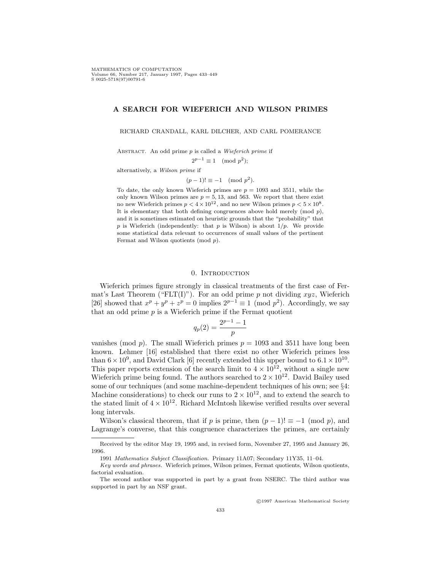# **A SEARCH FOR WIEFERICH AND WILSON PRIMES**

RICHARD CRANDALL, KARL DILCHER, AND CARL POMERANCE

ABSTRACT. An odd prime  $p$  is called a Wieferich prime if

 $2^{p-1} \equiv 1 \pmod{p^2};$ 

alternatively, a Wilson prime if

$$
(p-1)! \equiv -1 \pmod{p^2}.
$$

To date, the only known Wieferich primes are  $p = 1093$  and 3511, while the only known Wilson primes are  $p = 5, 13,$  and 563. We report that there exist no new Wieferich primes  $p < 4 \times 10^{12}$ , and no new Wilson primes  $p < 5 \times 10^8$ . It is elementary that both defining congruences above hold merely (mod  $p$ ), and it is sometimes estimated on heuristic grounds that the "probability" that p is Wieferich (independently: that p is Wilson) is about  $1/p$ . We provide some statistical data relevant to occurrences of small values of the pertinent Fermat and Wilson quotients (mod p).

## 0. Introduction

Wieferich primes figure strongly in classical treatments of the first case of Fermat's Last Theorem ("FLT(I)"). For an odd prime p not dividing  $xyz$ , Wieferich [26] showed that  $x^p + y^p + z^p = 0$  implies  $2^{p-1} \equiv 1 \pmod{p^2}$ . Accordingly, we say that an odd prime  $p$  is a Wieferich prime if the Fermat quotient

$$
q_p(2) = \frac{2^{p-1} - 1}{p}
$$

vanishes (mod p). The small Wieferich primes  $p = 1093$  and 3511 have long been known. Lehmer [16] established that there exist no other Wieferich primes less than  $6 \times 10^9$ , and David Clark [6] recently extended this upper bound to  $6.1 \times 10^{10}$ . This paper reports extension of the search limit to  $4 \times 10^{12}$ , without a single new Wieferich prime being found. The authors searched to  $2 \times 10^{12}$ . David Bailey used some of our techniques (and some machine-dependent techniques of his own; see §4: Machine considerations) to check our runs to  $2 \times 10^{12}$ , and to extend the search to the stated limit of  $4 \times 10^{12}$ . Richard McIntosh likewise verified results over several long intervals.

Wilson's classical theorem, that if p is prime, then  $(p-1)! \equiv -1 \pmod{p}$ , and Lagrange's converse, that this congruence characterizes the primes, are certainly

c 1997 American Mathematical Society

Received by the editor May 19, 1995 and, in revised form, November 27, 1995 and January 26, 1996.

<sup>1991</sup> Mathematics Subject Classification. Primary 11A07; Secondary 11Y35, 11–04.

Key words and phrases. Wieferich primes, Wilson primes, Fermat quotients, Wilson quotients, factorial evaluation.

The second author was supported in part by a grant from NSERC. The third author was supported in part by an NSF grant.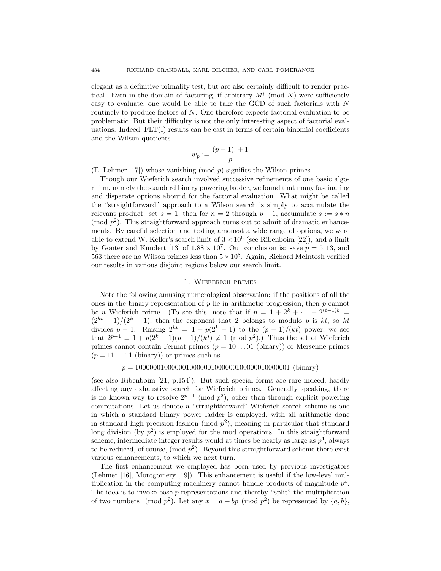elegant as a definitive primality test, but are also certainly difficult to render practical. Even in the domain of factoring, if arbitrary  $M!$  (mod  $N$ ) were sufficiently easy to evaluate, one would be able to take the GCD of such factorials with N routinely to produce factors of N. One therefore expects factorial evaluation to be problematic. But their difficulty is not the only interesting aspect of factorial evaluations. Indeed,  $FLT(I)$  results can be cast in terms of certain binomial coefficients and the Wilson quotients

$$
w_p := \frac{(p-1)!+1}{p}
$$

(E. Lehmer  $[17]$ ) whose vanishing  $(mod p)$  signifies the Wilson primes.

Though our Wieferich search involved successive refinements of one basic algorithm, namely the standard binary powering ladder, we found that many fascinating and disparate options abound for the factorial evaluation. What might be called the "straightforward" approach to a Wilson search is simply to accumulate the relevant product: set  $s = 1$ , then for  $n = 2$  through  $p - 1$ , accumulate  $s := s * n$ (mod  $p^2$ ). This straightforward approach turns out to admit of dramatic enhancements. By careful selection and testing amongst a wide range of options, we were able to extend W. Keller's search limit of  $3 \times 10^6$  (see Ribenboim [22]), and a limit by Gonter and Kundert [13] of  $1.88 \times 10^7$ . Our conclusion is: save  $p = 5, 13$ , and 563 there are no Wilson primes less than  $5 \times 10^8$ . Again, Richard McIntosh verified our results in various disjoint regions below our search limit.

# 1. Wieferich primes

Note the following amusing numerological observation: if the positions of all the ones in the binary representation of  $p$  lie in arithmetic progression, then  $p$  cannot be a Wieferich prime. (To see this, note that if  $p = 1 + 2^k + \cdots + 2^{(t-1)k} =$  $(2^{kt} - 1)/(2^{k} - 1)$ , then the exponent that 2 belongs to modulo p is kt, so kt divides  $p-1$ . Raising  $2^{kt} = 1 + p(2^k - 1)$  to the  $(p-1)/(kt)$  power, we see that  $2^{p-1} \equiv 1 + p(2^k - 1)(p - 1)/(kt) \not\equiv 1 \pmod{p^2}$ . Thus the set of Wieferich primes cannot contain Fermat primes  $(p = 10 \dots 01$  (binary)) or Mersenne primes  $(p = 11 \dots 11 \text{ (binary)})$  or primes such as

#### p = 1000000100000010000001000000100000010000001 (binary)

(see also Ribenboim [21, p.154]). But such special forms are rare indeed, hardly affecting any exhaustive search for Wieferich primes. Generally speaking, there is no known way to resolve  $2^{p-1}$  (mod  $p^2$ ), other than through explicit powering computations. Let us denote a "straightforward" Wieferich search scheme as one in which a standard binary power ladder is employed, with all arithmetic done in standard high-precision fashion (mod  $p^2$ ), meaning in particular that standard long division (by  $p^2$ ) is employed for the mod operations. In this straightforward scheme, intermediate integer results would at times be nearly as large as  $p<sup>4</sup>$ , always to be reduced, of course,  $(\text{mod } p^2)$ . Beyond this straightforward scheme there exist various enhancements, to which we next turn.

The first enhancement we employed has been used by previous investigators (Lehmer [16], Montgomery [19]). This enhancement is useful if the low-level multiplication in the computing machinery cannot handle products of magnitude  $p^4$ . The idea is to invoke base- $p$  representations and thereby "split" the multiplication of two numbers (mod  $p^2$ ). Let any  $x = a + bp \pmod{p^2}$  be represented by  $\{a, b\}$ ,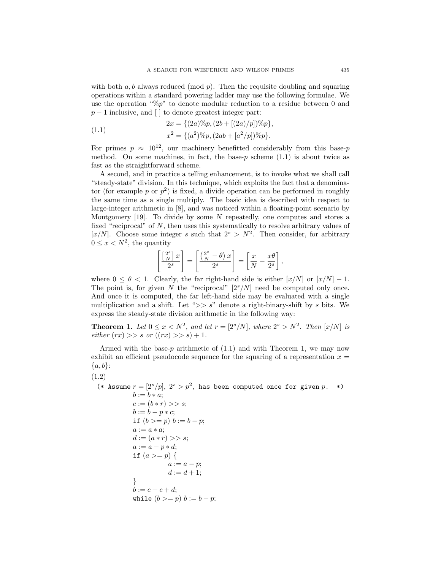with both  $a, b$  always reduced (mod  $p$ ). Then the requisite doubling and squaring operations within a standard powering ladder may use the following formulae. We use the operation " $\mathcal{C}_p$ " to denote modular reduction to a residue between 0 and  $p-1$  inclusive, and [ ] to denote greatest integer part:

(1.1) 
$$
2x = \{(2a)\%p, (2b + [(2a)/p])\%p\},\newline x^2 = \{(a^2)\%p, (2ab + [a^2/p])\%p\}.
$$

For primes  $p \approx 10^{12}$ , our machinery benefitted considerably from this base-p method. On some machines, in fact, the base- $p$  scheme (1.1) is about twice as fast as the straightforward scheme.

A second, and in practice a telling enhancement, is to invoke what we shall call "steady-state" division. In this technique, which exploits the fact that a denominator (for example p or  $p^2$ ) is fixed, a divide operation can be performed in roughly the same time as a single multiply. The basic idea is described with respect to large-integer arithmetic in [8], and was noticed within a floating-point scenario by Montgomery  $[19]$ . To divide by some N repeatedly, one computes and stores a fixed "reciprocal" of  $N$ , then uses this systematically to resolve arbitrary values of [x/N]. Choose some integer s such that  $2^s > N^2$ . Then consider, for arbitrary  $0 \leq x \leq N^2$ , the quantity

$$
\left[\frac{\left[\frac{2^s}{N}\right]x}{2^s}\right] = \left[\frac{\left(\frac{2^s}{N} - \theta\right)x}{2^s}\right] = \left[\frac{x}{N} - \frac{x\theta}{2^s}\right],
$$

where  $0 \le \theta < 1$ . Clearly, the far right-hand side is either  $[x/N]$  or  $[x/N] - 1$ . The point is, for given N the "reciprocal"  $[2<sup>s</sup>/N]$  need be computed only once. And once it is computed, the far left-hand side may be evaluated with a single multiplication and a shift. Let " $>> s$ " denote a right-binary-shift by s bits. We express the steady-state division arithmetic in the following way:

**Theorem 1.** Let  $0 \le x \le N^2$ , and let  $r = [2^s/N]$ , where  $2^s > N^2$ . Then  $[x/N]$  is either  $(rx) >> s \text{ or } ((rx) >> s) + 1.$ 

Armed with the base-p arithmetic of  $(1.1)$  and with Theorem 1, we may now exhibit an efficient pseudocode sequence for the squaring of a representation  $x =$  ${a,b}$ :

(1.2)

(\* Assume  $r = [2<sup>s</sup>/p], 2<sup>s</sup> > p<sup>2</sup>$ , has been computed once for given  $p.$  \*)  $b := b * a;$  $c := (b * r) >> s;$  $b := b - p * c;$ if  $(b \ge p)$   $b := b - p$ ;  $a := a * a;$  $d := (a * r) >> s;$  $a := a - p * d;$ if  $(a >= p)$  {  $a := a - p;$  $d := d + 1$ ; }  $b := c + c + d;$ while  $(b \geq p)$   $b := b - p$ ;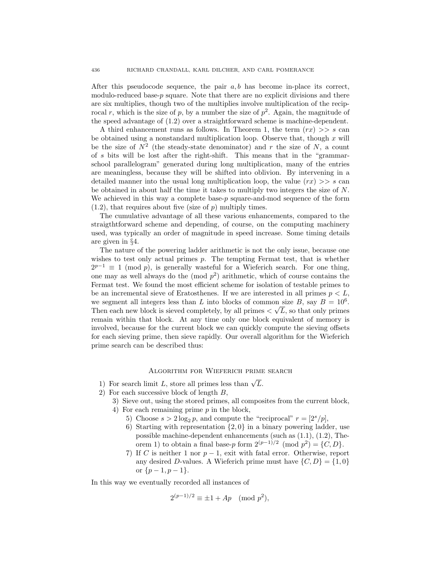After this pseudocode sequence, the pair  $a, b$  has become in-place its correct, modulo-reduced base- $p$  square. Note that there are no explicit divisions and there are six multiplies, though two of the multiplies involve multiplication of the reciprocal r, which is the size of p, by a number the size of  $p^2$ . Again, the magnitude of the speed advantage of (1.2) over a straightforward scheme is machine-dependent.

A third enhancement runs as follows. In Theorem 1, the term  $(rx) \geq s$  can be obtained using a nonstandard multiplication loop. Observe that, though  $x$  will be the size of  $N^2$  (the steady-state denominator) and r the size of N, a count of s bits will be lost after the right-shift. This means that in the "grammarschool parallelogram" generated during long multiplication, many of the entries are meaningless, because they will be shifted into oblivion. By intervening in a detailed manner into the usual long multiplication loop, the value  $(rx) >> s$  can be obtained in about half the time it takes to multiply two integers the size of N. We achieved in this way a complete base- $p$  square-and-mod sequence of the form  $(1.2)$ , that requires about five (size of p) multiply times.

The cumulative advantage of all these various enhancements, compared to the straigthtforward scheme and depending, of course, on the computing machinery used, was typically an order of magnitude in speed increase. Some timing details are given in §4.

The nature of the powering ladder arithmetic is not the only issue, because one wishes to test only actual primes p. The tempting Fermat test, that is whether  $2^{p-1} \equiv 1 \pmod{p}$ , is generally wasteful for a Wieferich search. For one thing, one may as well always do the  $\pmod{p^2}$  arithmetic, which of course contains the Fermat test. We found the most efficient scheme for isolation of testable primes to be an incremental sieve of Eratosthenes. If we are interested in all primes  $p < L$ , we segment all integers less than L into blocks of common size B, say  $B = 10^6$ . we segment an integers less than L into blocks of common size  $B$ , say  $B = 10^{\circ}$ .<br>Then each new block is sieved completely, by all primes  $\langle \sqrt{L}$ , so that only primes remain within that block. At any time only one block equivalent of memory is involved, because for the current block we can quickly compute the sieving offsets for each sieving prime, then sieve rapidly. Our overall algorithm for the Wieferich prime search can be described thus:

# Algorithm for Wieferich prime search

- 1) For search limit L, store all primes less than  $\sqrt{L}$ .
- 2) For each successive block of length B,
	- 3) Sieve out, using the stored primes, all composites from the current block,
	- 4) For each remaining prime p in the block,
		- 5) Choose  $s > 2 \log_2 p$ , and compute the "reciprocal"  $r = \left[\frac{2^s}{p}\right]$ ,
		- 6) Starting with representation  $\{2,0\}$  in a binary powering ladder, use possible machine-dependent enhancements (such as (1.1), (1.2), Theorem 1) to obtain a final base-p form  $2^{(p-1)/2} \pmod{p^2} = \{C, D\}.$
		- 7) If C is neither 1 nor  $p-1$ , exit with fatal error. Otherwise, report any desired D-values. A Wieferich prime must have  $\{C, D\} = \{1, 0\}$ or  $\{p-1, p-1\}.$

In this way we eventually recorded all instances of

$$
2^{(p-1)/2} \equiv \pm 1 + Ap \pmod{p^2},
$$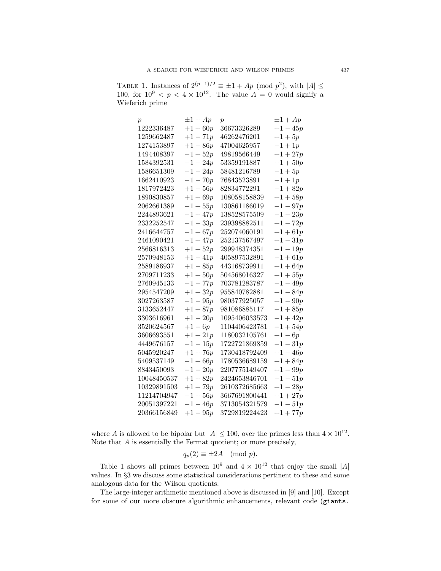TABLE 1. Instances of  $2^{(p-1)/2} \equiv \pm 1 + Ap \pmod{p^2}$ , with  $|A| \le$ 100, for  $10^9 < p < 4 \times 10^{12}$ . The value  $A = 0$  would signify a Wieferich prime

| $\boldsymbol{p}$ | $\pm 1 + Ap$ | $\boldsymbol{p}$ | $\pm 1 + Ap$ |
|------------------|--------------|------------------|--------------|
| 1222336487       | $+1+60p$     | 36673326289      | $+1-45p$     |
| 1259662487       | $+1-71p$     | 46262476201      | $+1+5p$      |
| 1274153897       | $+1-86p$     | 47004625957      | $-1 + 1p$    |
| 1494408397       | $-1+52p$     | 49819566449      | $+1 + 27p$   |
| 1584392531       | $-1 - 24p$   | 53359191887      | $+1+50p$     |
| 1586651309       | $-1 - 24p$   | 58481216789      | $-1+5p$      |
| 1662410923       | $-1 - 70p$   | 76843523891      | $-1 + 1p$    |
| 1817972423       | $+1-56p$     | 82834772291      | $-1 + 82p$   |
| 1890830857       | $+1+69p$     | 108058158839     | $+1+58p$     |
| 2062661389       | $-1+55p$     | 130861186019     | $-1 - 97p$   |
| 2244893621       | $-1 + 47p$   | 138528575509     | $-1-23p$     |
| 2332252547       | $-1-33p$     | 239398882511     | $+1-72p$     |
| 2416644757       | $-1 + 67p$   | 252074060191     | $+1+61p$     |
| 2461090421       | $-1 + 47p$   | 252137567497     | $+1-31p$     |
| 2566816313       | $+1+52p$     | 299948374351     | $+1-19p$     |
| 2570948153       | $+1-41p$     | 405897532891     | $-1 + 61p$   |
| 2589186937       | $+1-85p$     | 443168739911     | $+1+64p$     |
| 2709711233       | $+1+50p$     | 504568016327     | $+1+55p$     |
| 2760945133       | $-1 - 77p$   | 703781283787     | $-1-49p$     |
| 2954547209       | $+1+32p$     | 955840782881     | $+1-84p$     |
| 3027263587       | $-1-95p$     | 980377925057     | $+1-90p$     |
| 3133652447       | $+1+87p$     | 981086885117     | $-1+85p$     |
| 3303616961       | $+1-20p$     | 1095406033573    | $-1 + 42p$   |
| 3520624567       | $+1-6p$      | 1104406423781    | $-1 + 54p$   |
| 3606693551       | $+1 + 21p$   | 1180032105761    | $+1-6p$      |
| 4449676157       | $-1 - 15p$   | 1722721869859    | $-1 - 31p$   |
| 5045920247       | $+1+76p$     | 1730418792409    | $+1-46p$     |
| 5409537149       | $-1+66p$     | 1780536689159    | $+1+84p$     |
| 8843450093       | $-1-20p$     | 2207775149407    | $+1-99p$     |
| 10048450537      | $+1+82p$     | 2424653846701    | $-1-51p$     |
| 10329891503      | $+1+79p$     | 2610372685663    | $+1-28p$     |
| 11214704947      | $-1+56p$     | 3667691800441    | $+1 + 27p$   |
| 20051397221      | $-1 - 46p$   | 3713054321579    | $-1 - 51p$   |
| 20366156849      | $+1-95p$     | 3729819224423    | $+1 + 77p$   |

where A is allowed to be bipolar but  $|A| \le 100$ , over the primes less than  $4 \times 10^{12}$ . Note that  $A$  is essentially the Fermat quotient; or more precisely,

$$
q_p(2) \equiv \pm 2A \pmod{p}.
$$

Table 1 shows all primes between  $10^9$  and  $4 \times 10^{12}$  that enjoy the small  $|A|$ values. In §3 we discuss some statistical considerations pertinent to these and some analogous data for the Wilson quotients.

The large-integer arithmetic mentioned above is discussed in [9] and [10]. Except for some of our more obscure algorithmic enhancements, relevant code (giants.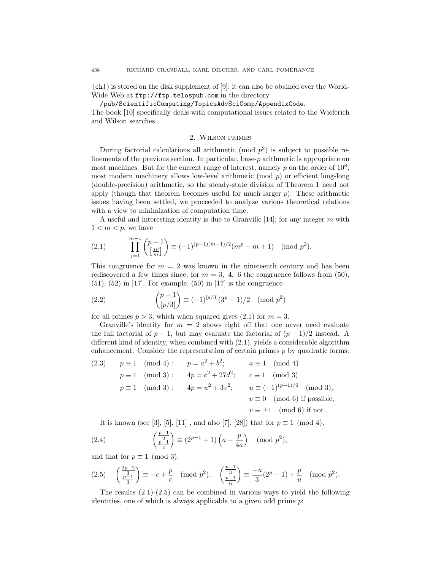[ch]) is stored on the disk supplement of [9]; it can also be obained over the World-Wide Web at ftp://ftp.telospub.com in the directory

/pub/ScientificComputing/TopicsAdvSciComp/AppendixCode.

The book [10] specifically deals with computational issues related to the Wieferich and Wilson searches.

# 2. Wilson primes

During factorial calculations all arithmetic (mod  $p^2$ ) is subject to possible refinements of the previous section. In particular, base- $p$  arithmetic is appropriate on most machines. But for the current range of interest, namely p on the order of  $10^8$ , most modern machinery allows low-level arithmetic (mod  $p$ ) or efficient long-long (double-precision) arithmetic, so the steady-state division of Theorem 1 need not apply (though that theorem becomes useful for much larger  $p$ ). These arithmetic issues having been settled, we proceeded to analyze various theoretical relations with a view to minimization of computation time.

A useful and interesting identity is due to Granville  $[14]$ ; for any integer m with  $1 < m < p$ , we have

(2.1) 
$$
\prod_{j=1}^{m-1} {p-1 \choose \lfloor \frac{jp}{m} \rfloor} \equiv (-1)^{(p-1)(m-1)/2} (m^p - m + 1) \pmod{p^2}.
$$

This congruence for  $m = 2$  was known in the nineteenth century and has been rediscovered a few times since; for  $m = 3, 4, 6$  the congruence follows from (50),  $(51)$ ,  $(52)$  in [17]. For example,  $(50)$  in [17] is the congruence

(2.2) 
$$
{p-1 \choose [p/3]} \equiv (-1)^{[p/3]} (3^p - 1)/2 \pmod{p^2}
$$

for all primes  $p > 3$ , which when squared gives (2.1) for  $m = 3$ .

Granville's identity for  $m = 2$  shows right off that one never need evaluate the full factorial of  $p-1$ , but may evaluate the factorial of  $(p-1)/2$  instead. A different kind of identity, when combined with (2.1), yields a considerable algorithm enhancement. Consider the representation of certain primes  $p$  by quadratic forms:

(2.3) 
$$
p \equiv 1 \pmod{4}
$$
:  $p = a^2 + b^2$ ;  $a \equiv 1 \pmod{4}$   
\n $p \equiv 1 \pmod{3}$ :  $4p = c^2 + 27d^2$ ;  $c \equiv 1 \pmod{3}$   
\n $p \equiv 1 \pmod{3}$ :  $4p = u^2 + 3v^2$ ;  $u \equiv (-1)^{(p-1)/6} \pmod{3}$ ,  
\n $v \equiv 0 \pmod{6}$  if possible,  
\n $v \equiv \pm 1 \pmod{6}$  if not.

It is known (see [3], [5], [11], and also [7], [28]) that for  $p \equiv 1 \pmod{4}$ ,

(2.4) 
$$
\left(\frac{\frac{p-1}{2}}{\frac{p-1}{4}}\right) \equiv (2^{p-1}+1)\left(a-\frac{p}{4a}\right) \pmod{p^2},
$$

and that for  $p \equiv 1 \pmod{3}$ ,

$$
(2.5) \quad \left(\frac{\frac{2p-2}{3}}{\frac{p-1}{3}}\right) \equiv -c + \frac{p}{c} \pmod{p^2}, \quad \left(\frac{\frac{p-1}{3}}{\frac{p-1}{6}}\right) \equiv \frac{-u}{3}(2^p + 1) + \frac{p}{u} \pmod{p^2}.
$$

The results  $(2.1)-(2.5)$  can be combined in various ways to yield the following identities, one of which is always applicable to a given odd prime  $p$ :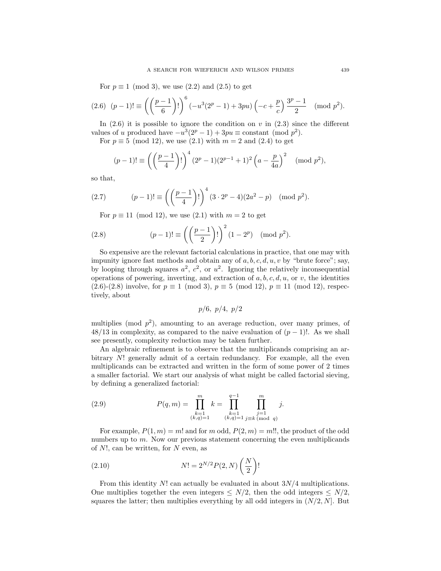For  $p \equiv 1 \pmod{3}$ , we use  $(2.2)$  and  $(2.5)$  to get

$$
(2.6) \ \ (p-1)! \equiv \left( \left( \frac{p-1}{6} \right)! \right)^6 \left( -u^3(2^p - 1) + 3pu \right) \left( -c + \frac{p}{c} \right) \frac{3^p - 1}{2} \pmod{p^2}.
$$

In  $(2.6)$  it is possible to ignore the condition on v in  $(2.3)$  since the different values of u produced have  $-u^3(2^p-1)+3pu \equiv \text{constant} \pmod{p^2}$ .

For  $p \equiv 5 \pmod{12}$ , we use  $(2.1)$  with  $m = 2$  and  $(2.4)$  to get

$$
(p-1)! \equiv \left( \left( \frac{p-1}{4} \right)! \right)^4 (2^p - 1)(2^{p-1} + 1)^2 \left( a - \frac{p}{4a} \right)^2 \pmod{p^2},
$$

so that,

(2.7) 
$$
(p-1)! \equiv \left( \left( \frac{p-1}{4} \right)! \right)^4 (3 \cdot 2^p - 4)(2a^2 - p) \pmod{p^2}.
$$

For  $p \equiv 11 \pmod{12}$ , we use  $(2.1)$  with  $m = 2$  to get

(2.8) 
$$
(p-1)! \equiv \left( \left( \frac{p-1}{2} \right)! \right)^2 (1 - 2^p) \pmod{p^2}.
$$

So expensive are the relevant factorial calculations in practice, that one may with impunity ignore fast methods and obtain any of  $a, b, c, d, u, v$  by "brute force"; say, by looping through squares  $a^2$ ,  $c^2$ , or  $u^2$ . Ignoring the relatively inconsequential operations of powering, inverting, and extraction of  $a, b, c, d, u$ , or v, the identities  $(2.6)-(2.8)$  involve, for  $p \equiv 1 \pmod{3}$ ,  $p \equiv 5 \pmod{12}$ ,  $p \equiv 11 \pmod{12}$ , respectively, about

$$
p/6, p/4, p/2
$$

multiplies (mod  $p^2$ ), amounting to an average reduction, over many primes, of  $48/13$  in complexity, as compared to the naive evaluation of  $(p-1)!$ . As we shall see presently, complexity reduction may be taken further.

An algebraic refinement is to observe that the multiplicands comprising an arbitrary N! generally admit of a certain redundancy. For example, all the even multiplicands can be extracted and written in the form of some power of 2 times a smaller factorial. We start our analysis of what might be called factorial sieving, by defining a generalized factorial:

(2.9) 
$$
P(q,m) = \prod_{\substack{k=1 \ (k,q)=1}}^m k = \prod_{\substack{k=1 \ (k,q)=1}}^{q-1} \prod_{\substack{j=1 \ j \equiv k \pmod{q}}}^m j.
$$

For example,  $P(1, m) = m!$  and for m odd,  $P(2, m) = m!!$ , the product of the odd numbers up to  $m$ . Now our previous statement concerning the even multiplicands of  $N!$ , can be written, for  $N$  even, as

(2.10) 
$$
N! = 2^{N/2} P(2, N) \left(\frac{N}{2}\right)!
$$

From this identity  $N!$  can actually be evaluated in about  $3N/4$  multiplications. One multiplies together the even integers  $\leq N/2$ , then the odd integers  $\leq N/2$ , squares the latter; then multiplies everything by all odd integers in  $(N/2, N]$ . But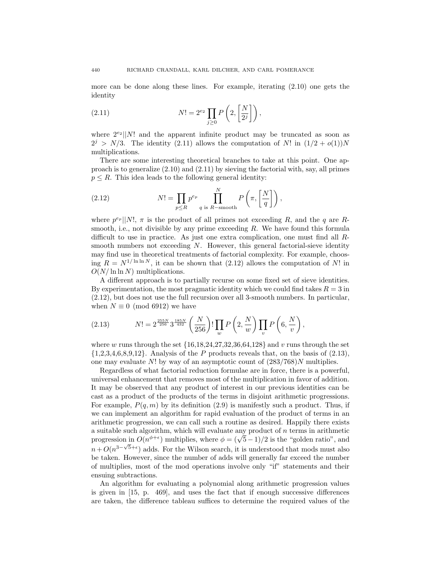more can be done along these lines. For example, iterating (2.10) one gets the identity

(2.11) 
$$
N! = 2^{e_2} \prod_{j \geq 0} P\left(2, \left[\frac{N}{2^j}\right]\right),
$$

where  $2^{e_2}$ ||N! and the apparent infinite product may be truncated as soon as  $2^{j} > N/3$ . The identity (2.11) allows the computation of N! in  $(1/2 + o(1))N$ multiplications.

There are some interesting theoretical branches to take at this point. One approach is to generalize  $(2.10)$  and  $(2.11)$  by sieving the factorial with, say, all primes  $p \leq R$ . This idea leads to the following general identity:

(2.12) 
$$
N! = \prod_{p \le R} p^{e_p} \prod_{q \text{ is } R-\text{smooth}}^N P\left(\pi, \left[\frac{N}{q}\right]\right),
$$

where  $p^{e_p}||N!$ ,  $\pi$  is the product of all primes not exceeding R, and the q are Rsmooth, i.e., not divisible by any prime exceeding  $R$ . We have found this formula difficult to use in practice. As just one extra complication, one must find all Rsmooth numbers not exceeding  $N$ . However, this general factorial-sieve identity may find use in theoretical treatments of factorial complexity. For example, choosing  $R = N^{1/\ln \ln N}$ , it can be shown that (2.12) allows the computation of N! in  $O(N/\ln \ln N)$  multiplications.

A different approach is to partially recurse on some fixed set of sieve identities. By experimentation, the most pragmatic identity which we could find takes  $R = 3$  in (2.12), but does not use the full recursion over all 3-smooth numbers. In particular, when  $N \equiv 0 \pmod{6912}$  we have

(2.13) 
$$
N! = 2^{\frac{255N}{256}} 3^{\frac{185N}{432}} \left(\frac{N}{256}\right)! \prod_{w} P\left(2, \frac{N}{w}\right) \prod_{v} P\left(6, \frac{N}{v}\right),
$$

where w runs through the set  $\{16,18,24,27,32,36,64,128\}$  and v runs through the set  $\{1,2,3,4,6,8,9,12\}$ . Analysis of the P products reveals that, on the basis of  $(2.13)$ , one may evaluate N! by way of an asymptotic count of  $(283/768)N$  multiplies.

Regardless of what factorial reduction formulae are in force, there is a powerful, universal enhancement that removes most of the multiplication in favor of addition. It may be observed that any product of interest in our previous identities can be cast as a product of the products of the terms in disjoint arithmetic progressions. For example,  $P(q, m)$  by its definition (2.9) is manifestly such a product. Thus, if we can implement an algorithm for rapid evaluation of the product of terms in an arithmetic progression, we can call such a routine as desired. Happily there exists a suitable such algorithm, which will evaluate any product of  $n$  terms in arithmetic a suitable such algorithm, which will evaluate any product of *n* terms in arithmetic<br>progression in  $O(n^{\phi+\epsilon})$  multiplies, where  $\phi = (\sqrt{5}-1)/2$  is the "golden ratio", and  $n + O(n^{3-\sqrt{5}+\epsilon})$  adds. For the Wilson search, it is understood that mods must also be taken. However, since the number of adds will generally far exceed the number of multiplies, most of the mod operations involve only "if" statements and their ensuing subtractions.

An algorithm for evaluating a polynomial along arithmetic progression values is given in [15, p. 469], and uses the fact that if enough successive differences are taken, the difference tableau suffices to determine the required values of the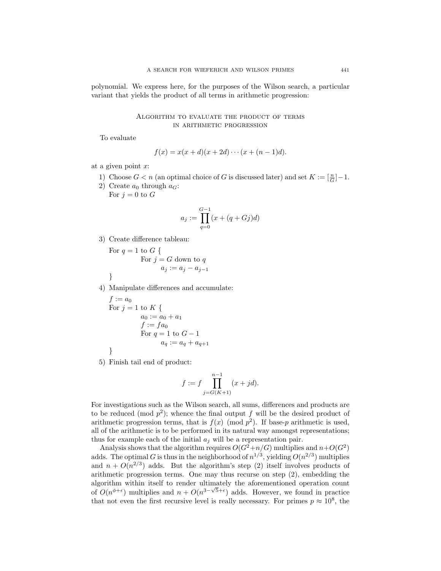polynomial. We express here, for the purposes of the Wilson search, a particular variant that yields the product of all terms in arithmetic progression:

# Algorithm to evaluate the product of terms in arithmetic progression

To evaluate

$$
f(x) = x(x + d)(x + 2d) \cdots (x + (n - 1)d).
$$

at a given point  $x$ :

- 1) Choose  $G < n$  (an optimal choice of G is discussed later) and set  $K := \lbrack \frac{n}{G} \rbrack 1$ .
- 2) Create  $a_0$  through  $a_G$ :

For 
$$
j = 0
$$
 to  $G$ 

$$
a_j := \prod_{q=0}^{G-1} (x + (q + Gj)d)
$$

3) Create difference tableau:

For 
$$
q = 1
$$
 to  $G \{$   
For  $j = G$  down to  $q$   
 $a_j := a_j - a_{j-1}$ 

4) Manipulate differences and accumulate:

$$
f := a_0
$$
  
For  $j = 1$  to  $K \{$   
 $a_0 := a_0 + a_1$   
 $f := fa_0$   
For  $q = 1$  to  $G - 1$   
 $a_q := a_q + a_{q+1}$ 

5) Finish tail end of product:

$$
f := f \prod_{j=G(K+1)}^{n-1} (x + jd).
$$

For investigations such as the Wilson search, all sums, differences and products are to be reduced (mod  $p^2$ ); whence the final output f will be the desired product of arithmetic progression terms, that is  $f(x) \pmod{p^2}$ . If base-p arithmetic is used, all of the arithmetic is to be performed in its natural way amongst representations; thus for example each of the initial  $a_j$  will be a representation pair.

Analysis shows that the algorithm requires  $O(G^2+n/G)$  multiplies and  $n+O(G^2)$ adds. The optimal G is thus in the neighborhood of  $n^{1/3}$ , yielding  $O(n^{2/3})$  multiplies and  $n + O(n^{2/3})$  adds. But the algorithm's step (2) itself involves products of arithmetic progression terms. One may thus recurse on step (2), embedding the algorithm within itself to render ultimately the aforementioned operation count of  $O(n^{\phi+\epsilon})$  multiplies and  $n + O(n^{3-\sqrt{5}+\epsilon})$  adds. However, we found in practice that not even the first recursive level is really necessary. For primes  $p \approx 10^8$ , the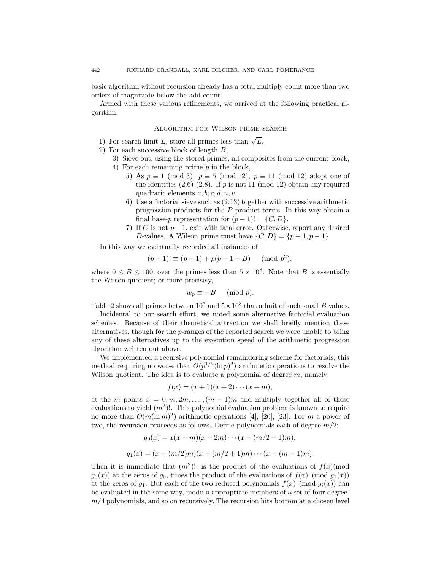basic algorithm without recursion already has a total multiply count more than two orders of magnitude below the add count.

Armed with these various refinements, we arrived at the following practical algorithm:

## Algorithm for Wilson prime search

- 1) For search limit L, store all primes less than  $\sqrt{L}$ .
- 2) For each successive block of length B,
	- 3) Sieve out, using the stored primes, all composites from the current block,
	- 4) For each remaining prime p in the block,
		- 5) As  $p \equiv 1 \pmod{3}$ ,  $p \equiv 5 \pmod{12}$ ,  $p \equiv 11 \pmod{12}$  adopt one of the identities  $(2.6)-(2.8)$ . If p is not 11 (mod 12) obtain any required quadratic elements  $a, b, c, d, u, v$ .
		- 6) Use a factorial sieve such as (2.13) together with successive arithmetic progression products for the P product terms. In this way obtain a final base-p representation for  $(p-1)! = \{C, D\}.$
		- 7) If C is not  $p-1$ , exit with fatal error. Otherwise, report any desired D-values. A Wilson prime must have  $\{C, D\} = \{p-1, p-1\}.$

In this way we eventually recorded all instances of

$$
(p-1)! \equiv (p-1) + p(p-1-B) \pmod{p^2},
$$

where  $0 \leq B \leq 100$ , over the primes less than  $5 \times 10^8$ . Note that B is essentially the Wilson quotient; or more precisely,

$$
w_p \equiv -B \pmod{p}.
$$

Table 2 shows all primes between  $10^7$  and  $5 \times 10^8$  that admit of such small B values.

Incidental to our search effort, we noted some alternative factorial evaluation schemes. Because of their theoretical attraction we shall briefly mention these alternatives, though for the  $p$ -ranges of the reported search we were unable to bring any of these alternatives up to the execution speed of the arithmetic progression algorithm written out above.

We implemented a recursive polynomial remaindering scheme for factorials; this method requiring no worse than  $O(p^{1/2}(\ln p)^2)$  arithmetic operations to resolve the Wilson quotient. The idea is to evaluate a polynomial of degree  $m$ , namely:

$$
f(x) = (x+1)(x+2)\cdots(x+m),
$$

at the m points  $x = 0, m, 2m, \ldots, (m-1)m$  and multiply together all of these evaluations to yield  $(m^2)!$ . This polynomial evaluation problem is known to require no more than  $O(m(\ln m)^2)$  arithmetic operations [4], [20], [23]. For m a power of two, the recursion proceeds as follows. Define polynomials each of degree  $m/2$ :

$$
g_0(x) = x(x - m)(x - 2m) \cdots (x - (m/2 - 1)m),
$$
  

$$
g_1(x) = (x - (m/2)m)(x - (m/2 + 1)m) \cdots (x - (m-1)m).
$$

Then it is immediate that  $(m^2)!$  is the product of the evaluations of  $f(x)$ (mod  $g_0(x)$  at the zeros of  $g_0$ , times the product of the evaluations of  $f(x)$  (mod  $g_1(x)$ ) at the zeros of  $g_1$ . But each of the two reduced polynomials  $f(x) \pmod{g_i(x)}$  can be evaluated in the same way, modulo appropriate members of a set of four degree $m/4$  polynomials, and so on recursively. The recursion hits bottom at a chosen level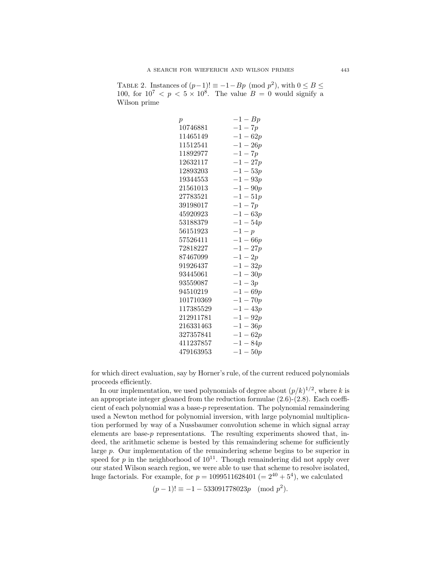TABLE 2. Instances of  $(p-1)! \equiv -1-Bp \pmod{p^2}$ , with  $0 \le B \le$ 100, for  $10^7 < p < 5 \times 10^8$ . The value  $B = 0$  would signify a Wilson prime

| $\boldsymbol{p}$ | $-1-Bp$    |
|------------------|------------|
| 10746881         | $-1-7p$    |
| 11465149         | $-1 - 62p$ |
| 11512541         | $-1-26p$   |
| 11892977         | $-1-7p$    |
| 12632117         | $-1-27p$   |
| 12893203         | $-1-53p$   |
| 19344553         | $-1 - 93p$ |
| 21561013         | $-1-90p$   |
| 27783521         | $-1 - 51p$ |
| 39198017         | $-1-7p$    |
| 45920923         | $-1 - 63p$ |
| 53188379         | $-1 - 54p$ |
| 56151923         | $-1-p$     |
| 57526411         | $-1 - 66p$ |
| 72818227         | $-1 - 27p$ |
| 87467099         | $-1-2p$    |
| 91926437         | $-1-32p$   |
| 93445061         | $-1-30p$   |
| 93559087         | $-1-3p$    |
| 94510219         | $-1-69p$   |
| 101710369        | $-1 - 70p$ |
| 117385529        | $-1-43p$   |
| 212911781        | $-1-92p$   |
| 216331463        | $-1-36p$   |
| 327357841        | $-1-62p$   |
| 411237857        | $-1 - 84p$ |
| 479163953        | $-1-50p$   |

for which direct evaluation, say by Horner's rule, of the current reduced polynomials proceeds efficiently.

In our implementation, we used polynomials of degree about  $(p/k)^{1/2}$ , where k is an appropriate integer gleaned from the reduction formulae (2.6)-(2.8). Each coefficient of each polynomial was a base-p representation. The polynomial remaindering used a Newton method for polynomial inversion, with large polynomial multiplication performed by way of a Nussbaumer convolution scheme in which signal array elements are base-p representations. The resulting experiments showed that, indeed, the arithmetic scheme is bested by this remaindering scheme for sufficiently large p. Our implementation of the remaindering scheme begins to be superior in speed for p in the neighborhood of  $10^{11}$ . Though remaindering did not apply over our stated Wilson search region, we were able to use that scheme to resolve isolated, huge factorials. For example, for  $p = 1099511628401 (= 2^{40} + 5^4)$ , we calculated

 $(p-1)! \equiv -1 - 533091778023p \pmod{p^2}$ .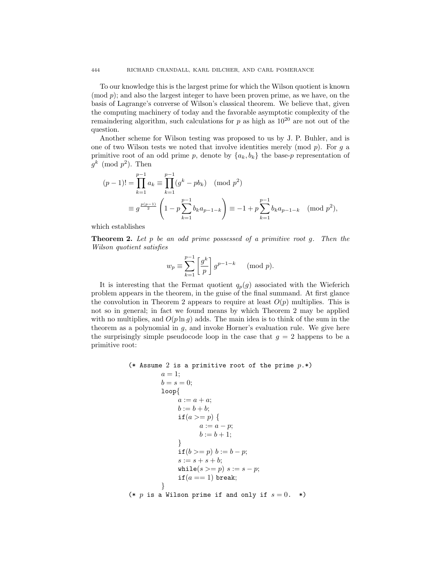To our knowledge this is the largest prime for which the Wilson quotient is known (mod p); and also the largest integer to have been proven prime, as we have, on the basis of Lagrange's converse of Wilson's classical theorem. We believe that, given the computing machinery of today and the favorable asymptotic complexity of the remaindering algorithm, such calculations for  $p$  as high as  $10^{20}$  are not out of the question.

Another scheme for Wilson testing was proposed to us by J. P. Buhler, and is one of two Wilson tests we noted that involve identities merely (mod  $p$ ). For  $q$  a primitive root of an odd prime p, denote by  ${a_k, b_k}$  the base-p representation of  $g^k \pmod{p^2}$ . Then

$$
(p-1)! = \prod_{k=1}^{p-1} a_k \equiv \prod_{k=1}^{p-1} (g^k - pb_k) \pmod{p^2}
$$
  

$$
\equiv g^{\frac{p(p-1)}{2}} \left(1 - p \sum_{k=1}^{p-1} b_k a_{p-1-k}\right) \equiv -1 + p \sum_{k=1}^{p-1} b_k a_{p-1-k} \pmod{p^2},
$$

which establishes

**Theorem 2.** Let p be an odd prime possessed of a primitive root g. Then the Wilson quotient satisfies

$$
w_p \equiv \sum_{k=1}^{p-1} \left[ \frac{g^k}{p} \right] g^{p-1-k} \pmod{p}.
$$

It is interesting that the Fermat quotient  $q_p(g)$  associated with the Wieferich problem appears in the theorem, in the guise of the final summand. At first glance the convolution in Theorem 2 appears to require at least  $O(p)$  multiplies. This is not so in general; in fact we found means by which Theorem 2 may be applied with no multiplies, and  $O(p \ln q)$  adds. The main idea is to think of the sum in the theorem as a polynomial in  $g$ , and invoke Horner's evaluation rule. We give here the surprisingly simple pseudocode loop in the case that  $g = 2$  happens to be a primitive root:

```
(* Assume 2 is a primitive root of the prime p.*)
         a=1:
         b = s = 0:
         loop{
              a := a + a;b := b + b;if(a >= p) {
                    a := a - p;b := b + 1;}
              if(b >= p) b := b - p;s := s + s + b;while(s >= p) s := s - p;
              if(a == 1) break;
         }
(* p is a Wilson prime if and only if s = 0. *)
```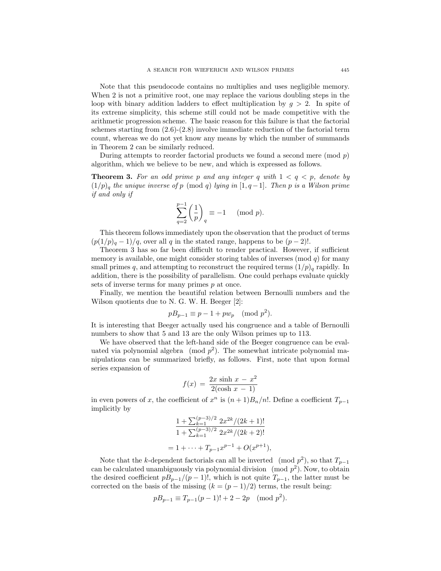Note that this pseudocode contains no multiplies and uses negligible memory. When 2 is not a primitive root, one may replace the various doubling steps in the loop with binary addition ladders to effect multiplication by  $g > 2$ . In spite of its extreme simplicity, this scheme still could not be made competitive with the arithmetic progression scheme. The basic reason for this failure is that the factorial schemes starting from  $(2.6)-(2.8)$  involve immediate reduction of the factorial term count, whereas we do not yet know any means by which the number of summands in Theorem 2 can be similarly reduced.

During attempts to reorder factorial products we found a second mere (mod  $p$ ) algorithm, which we believe to be new, and which is expressed as follows.

**Theorem 3.** For an odd prime p and any integer q with  $1 < q < p$ , denote by  $(1/p)<sub>q</sub>$  the unique inverse of p (mod q) lying in [1, q-1]. Then p is a Wilson prime if and only if

$$
\sum_{q=2}^{p-1} \left(\frac{1}{p}\right)_q \equiv -1 \pmod{p}.
$$

This theorem follows immediately upon the observation that the product of terms  $(p(1/p)<sub>q</sub> - 1)/q$ , over all q in the stated range, happens to be  $(p-2)!$ .

Theorem 3 has so far been difficult to render practical. However, if sufficient memory is available, one might consider storing tables of inverses  $\pmod{q}$  for many small primes q, and attempting to reconstruct the required terms  $(1/p)$ <sub>q</sub> rapidly. In addition, there is the possibility of parallelism. One could perhaps evaluate quickly sets of inverse terms for many primes  $p$  at once.

Finally, we mention the beautiful relation between Bernoulli numbers and the Wilson quotients due to N. G. W. H. Beeger [2]:

$$
pB_{p-1} \equiv p-1 + p w_p \pmod{p^2}.
$$

It is interesting that Beeger actually used his congruence and a table of Bernoulli numbers to show that 5 and 13 are the only Wilson primes up to 113.

We have observed that the left-hand side of the Beeger congruence can be evaluated via polynomial algebra (mod  $p^2$ ). The somewhat intricate polynomial manipulations can be summarized briefly, as follows. First, note that upon formal series expansion of

$$
f(x) = \frac{2x \sinh x - x^2}{2(\cosh x - 1)}
$$

in even powers of x, the coefficient of  $x^n$  is  $(n+1)B_n/n!$ . Define a coefficient  $T_{p-1}$ implicitly by

$$
\frac{1 + \sum_{k=1}^{(p-3)/2} 2x^{2k}/(2k+1)!}{1 + \sum_{k=1}^{(p-3)/2} 2x^{2k}/(2k+2)!}
$$
  
= 1 + \cdots + T\_{p-1}x^{p-1} + O(x^{p+1}),

Note that the k-dependent factorials can all be inverted (mod  $p^2$ ), so that  $T_{p-1}$ can be calculated unambiguously via polynomial division  $\pmod{p^2}$ . Now, to obtain the desired coefficient  $p_{p-1}/(p-1)!$ , which is not quite  $T_{p-1}$ , the latter must be corrected on the basis of the missing  $(k = (p - 1)/2)$  terms, the result being:

$$
pB_{p-1} \equiv T_{p-1}(p-1)! + 2 - 2p \pmod{p^2}.
$$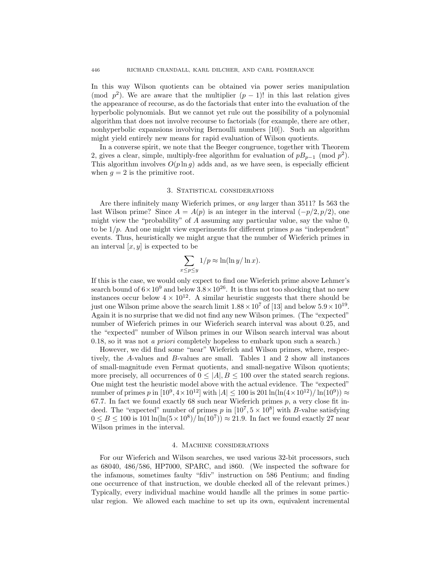In this way Wilson quotients can be obtained via power series manipulation (mod  $p^2$ ). We are aware that the multiplier  $(p-1)!$  in this last relation gives the appearance of recourse, as do the factorials that enter into the evaluation of the hyperbolic polynomials. But we cannot yet rule out the possibility of a polynomial algorithm that does not involve recourse to factorials (for example, there are other, nonhyperbolic expansions involving Bernoulli numbers [10]). Such an algorithm might yield entirely new means for rapid evaluation of Wilson quotients.

In a converse spirit, we note that the Beeger congruence, together with Theorem 2, gives a clear, simple, multiply-free algorithm for evaluation of  $p_{p-1}$  (mod  $p^2$ ). This algorithm involves  $O(p \ln q)$  adds and, as we have seen, is especially efficient when  $g = 2$  is the primitive root.

### 3. STATISTICAL CONSIDERATIONS

Are there infinitely many Wieferich primes, or any larger than 3511? Is 563 the last Wilson prime? Since  $A = A(p)$  is an integer in the interval  $(-p/2, p/2)$ , one might view the "probability" of  $A$  assuming any particular value, say the value  $0$ , to be  $1/p$ . And one might view experiments for different primes p as "independent" events. Thus, heuristically we might argue that the number of Wieferich primes in an interval  $[x, y]$  is expected to be

$$
\sum_{x \le p \le y} 1/p \approx \ln(\ln y/\ln x).
$$

If this is the case, we would only expect to find one Wieferich prime above Lehmer's search bound of  $6 \times 10^9$  and below  $3.8 \times 10^{26}$ . It is thus not too shocking that no new instances occur below  $4 \times 10^{12}$ . A similar heuristic suggests that there should be just one Wilson prime above the search limit  $1.88 \times 10^7$  of [13] and below  $5.9 \times 10^{19}$ . Again it is no surprise that we did not find any new Wilson primes. (The "expected" number of Wieferich primes in our Wieferich search interval was about 0.25, and the "expected" number of Wilson primes in our Wilson search interval was about 0.18, so it was not a priori completely hopeless to embark upon such a search.)

However, we did find some "near" Wieferich and Wilson primes, where, respectively, the A-values and B-values are small. Tables 1 and 2 show all instances of small-magnitude even Fermat quotients, and small-negative Wilson quotients; more precisely, all occurrences of  $0 \leq |A|, B \leq 100$  over the stated search regions. One might test the heuristic model above with the actual evidence. The "expected" number of primes p in [10<sup>9</sup>, 4 × 10<sup>12</sup>] with  $|A|$  ≤ 100 is 201 ln(ln(4 × 10<sup>12</sup>)/ ln(10<sup>9</sup>)) ≈ 67.7. In fact we found exactly 68 such near Wieferich primes  $p$ , a very close fit indeed. The "expected" number of primes p in  $[10^7, 5 \times 10^8]$  with B-value satisfying  $0 \leq B \leq 100$  is 101  $\ln(\ln(5 \times 10^8)/\ln(10^7)) \approx 21.9$ . In fact we found exactly 27 near Wilson primes in the interval.

#### 4. Machine considerations

For our Wieferich and Wilson searches, we used various 32-bit processors, such as 68040, 486/586, HP7000, SPARC, and i860. (We inspected the software for the infamous, sometimes faulty "fdiv" instruction on 586 Pentium; and finding one occurrence of that instruction, we double checked all of the relevant primes.) Typically, every individual machine would handle all the primes in some particular region. We allowed each machine to set up its own, equivalent incremental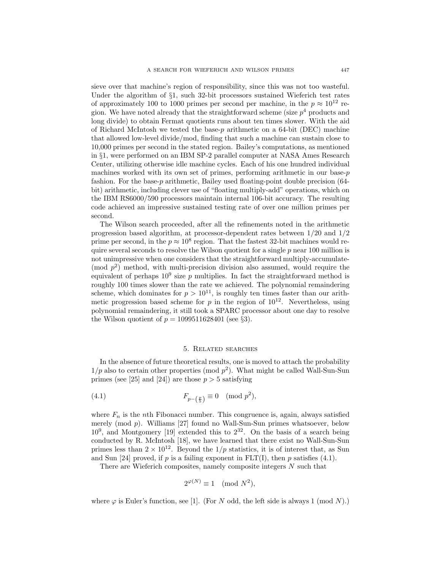sieve over that machine's region of responsibility, since this was not too wasteful. Under the algorithm of §1, such 32-bit processors sustained Wieferich test rates of approximately 100 to 1000 primes per second per machine, in the  $p \approx 10^{12}$  region. We have noted already that the straightforward scheme (size  $p<sup>4</sup>$  products and long divide) to obtain Fermat quotients runs about ten times slower. With the aid of Richard McIntosh we tested the base-p arithmetic on a 64-bit (DEC) machine that allowed low-level divide/mod, finding that such a machine can sustain close to 10,000 primes per second in the stated region. Bailey's computations, as mentioned in §1, were performed on an IBM SP-2 parallel computer at NASA Ames Research Center, utilizing otherwise idle machine cycles. Each of his one hundred individual machines worked with its own set of primes, performing arithmetic in our base-p fashion. For the base-p arithmetic, Bailey used floating-point double precision (64 bit) arithmetic, including clever use of "floating multiply-add" operations, which on the IBM RS6000/590 processors maintain internal 106-bit accuracy. The resulting code achieved an impressive sustained testing rate of over one million primes per second.

The Wilson search proceeded, after all the refinements noted in the arithmetic progression based algorithm, at processor-dependent rates between 1/20 and 1/2 prime per second, in the  $p \approx 10^8$  region. That the fastest 32-bit machines would require several seconds to resolve the Wilson quotient for a single  $p$  near 100 million is not unimpressive when one considers that the straightforward multiply-accumulate- (mod  $p^2$ ) method, with multi-precision division also assumed, would require the equivalent of perhaps  $10^9$  size p multiplies. In fact the straightforward method is roughly 100 times slower than the rate we achieved. The polynomial remaindering scheme, which dominates for  $p > 10^{11}$ , is roughly ten times faster than our arithmetic progression based scheme for p in the region of  $10^{12}$ . Nevertheless, using polynomial remaindering, it still took a SPARC processor about one day to resolve the Wilson quotient of  $p = 1099511628401$  (see §3).

#### 5. Related searches

In the absence of future theoretical results, one is moved to attach the probability  $1/p$  also to certain other properties (mod  $p^2$ ). What might be called Wall-Sun-Sun primes (see [25] and [24]) are those  $p > 5$  satisfying

(4.1) 
$$
F_{p-\left(\frac{p}{5}\right)} \equiv 0 \pmod{p^2},
$$

where  $F_n$  is the nth Fibonacci number. This congruence is, again, always satisfied merely (mod  $p$ ). Williams [27] found no Wall-Sun-Sun primes whatsoever, below  $10<sup>9</sup>$ , and Montgomery [19] extended this to  $2<sup>32</sup>$ . On the basis of a search being conducted by R. McIntosh [18], we have learned that there exist no Wall-Sun-Sun primes less than  $2 \times 10^{12}$ . Beyond the  $1/p$  statistics, it is of interest that, as Sun and Sun [24] proved, if p is a failing exponent in  $\text{FLT}(I)$ , then p satisfies (4.1).

There are Wieferich composites, namely composite integers N such that

$$
2^{\varphi(N)} \equiv 1 \pmod{N^2},
$$

where  $\varphi$  is Euler's function, see [1]. (For N odd, the left side is always 1 (mod N).)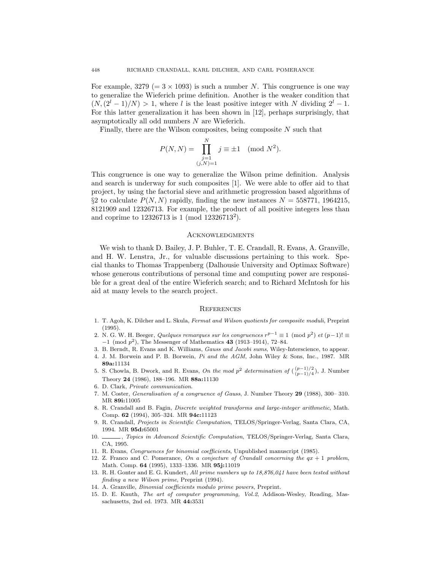For example,  $3279 (= 3 \times 1093)$  is such a number N. This congruence is one way to generalize the Wieferich prime definition. Another is the weaker condition that  $(N,(2^l-1)/N) > 1$ , where l is the least positive integer with N dividing  $2^l-1$ . For this latter generalization it has been shown in [12], perhaps surprisingly, that asymptotically all odd numbers N are Wieferich.

Finally, there are the Wilson composites, being composite  $N$  such that

$$
P(N, N) = \prod_{\substack{j=1 \ (j, N) = 1}}^{N} j \equiv \pm 1 \pmod{N^2}.
$$

This congruence is one way to generalize the Wilson prime definition. Analysis and search is underway for such composites [1]. We were able to offer aid to that project, by using the factorial sieve and arithmetic progression based algorithms of §2 to calculate  $P(N, N)$  rapidly, finding the new instances  $N = 558771$ , 1964215, 8121909 and 12326713. For example, the product of all positive integers less than and coprime to 12326713 is 1 (mod 12326713<sup>2</sup>).

#### **ACKNOWLEDGMENTS**

We wish to thank D. Bailey, J. P. Buhler, T. E. Crandall, R. Evans, A. Granville, and H. W. Lenstra, Jr., for valuable discussions pertaining to this work. Special thanks to Thomas Trappenberg (Dalhousie University and Optimax Software) whose generous contributions of personal time and computing power are responsible for a great deal of the entire Wieferich search; and to Richard McIntosh for his aid at many levels to the search project.

### **REFERENCES**

- 1. T. Agoh, K. Dilcher and L. Skula, Fermat and Wilson quotients for composite moduli, Preprint (1995).
- 2. N. G. W. H. Beeger, Quelques remarques sur les congruences  $r^{p-1} \equiv 1 \pmod{p^2}$  et  $(p-1)! \equiv$ <sup>−</sup>1 (mod <sup>p</sup>2), The Messenger of Mathematics **<sup>43</sup>** (1913–1914), 72–84.
- 3. B. Berndt, R. Evans and K. Williams, Gauss and Jacobi sums, Wiley-Interscience, to appear.
- 4. J. M. Borwein and P. B. Borwein, Pi and the AGM, John Wiley & Sons, Inc., 1987. MR **89a:**11134
- 5. S. Chowla, B. Dwork, and R. Evans, On the mod  $p^2$  determination of  $\binom{(p-1)/2}{(p-1)/4}$ , J. Number Theory **24** (1986), 188–196. MR **88a:**11130
- 6. D. Clark, Private communication.
- 7. M. Coster, Generalisation of a congruence of Gauss, J. Number Theory **29** (1988), 300– 310. MR **89i:**11005
- 8. R. Crandall and B. Fagin, Discrete weighted transforms and large-integer arithmetic, Math. Comp. **62** (1994), 305–324. MR **94c:**11123
- 9. R. Crandall, Projects in Scientific Computation, TELOS/Springer-Verlag, Santa Clara, CA, 1994. MR **95d:**65001
- 10. , Topics in Advanced Scientific Computation, TELOS/Springer-Verlag, Santa Clara, CA, 1995.
- 11. R. Evans, Congruences for binomial coefficients, Unpublished manuscript (1985).
- 12. Z. Franco and C. Pomerance, On a conjecture of Crandall concerning the  $qx + 1$  problem, Math. Comp. **64** (1995), 1333–1336. MR **95j:**11019
- 13. R. H. Gonter and E. G. Kundert, All prime numbers up to 18,876,041 have been tested without finding a new Wilson prime, Preprint (1994).
- 14. A. Granville, Binomial coefficients modulo prime powers, Preprint.
- 15. D. E. Knuth, The art of computer programming, Vol.2, Addison-Wesley, Reading, Massachusetts, 2nd ed. 1973. MR **44:**3531